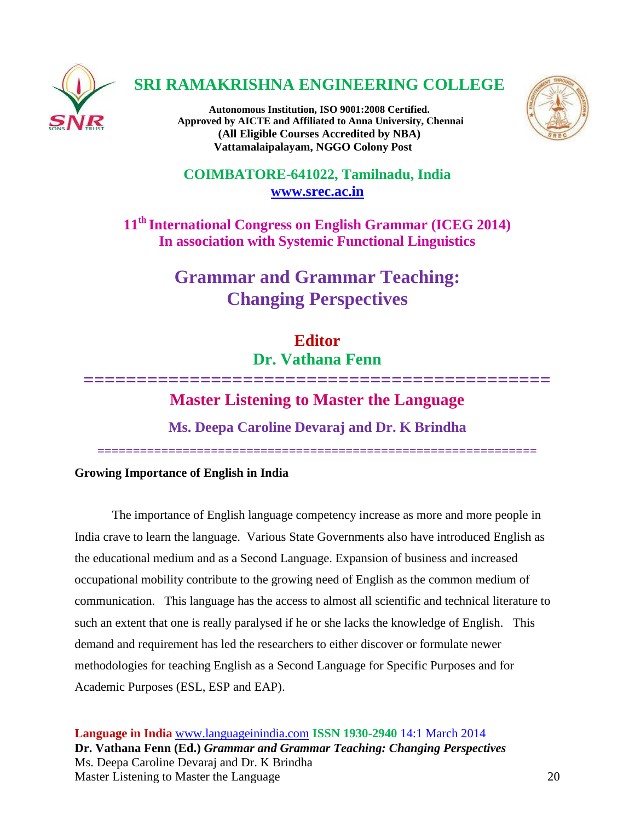

## **SRI RAMAKRISHNA ENGINEERING COLLEGE**

**Autonomous Institution, ISO 9001:2008 Certified. Approved by AICTE and Affiliated to Anna University, Chennai (All Eligible Courses Accredited by NBA) Vattamalaipalayam, NGGO Colony Post**



**COIMBATORE-641022, Tamilnadu, India [www.srec.ac.in](http://www.srec.ac.in/)**

**11th International Congress on English Grammar (ICEG 2014) In association with Systemic Functional Linguistics**

# **Grammar and Grammar Teaching: Changing Perspectives**

# **Editor Dr. Vathana Fenn**

## **============================================ Master Listening to Master the Language**

**Ms. Deepa Caroline Devaraj and Dr. K Brindha**

**==============================================================**

**Growing Importance of English in India**

The importance of English language competency increase as more and more people in India crave to learn the language. Various State Governments also have introduced English as the educational medium and as a Second Language. Expansion of business and increased occupational mobility contribute to the growing need of English as the common medium of communication. This language has the access to almost all scientific and technical literature to such an extent that one is really paralysed if he or she lacks the knowledge of English. This demand and requirement has led the researchers to either discover or formulate newer methodologies for teaching English as a Second Language for Specific Purposes and for Academic Purposes (ESL, ESP and EAP).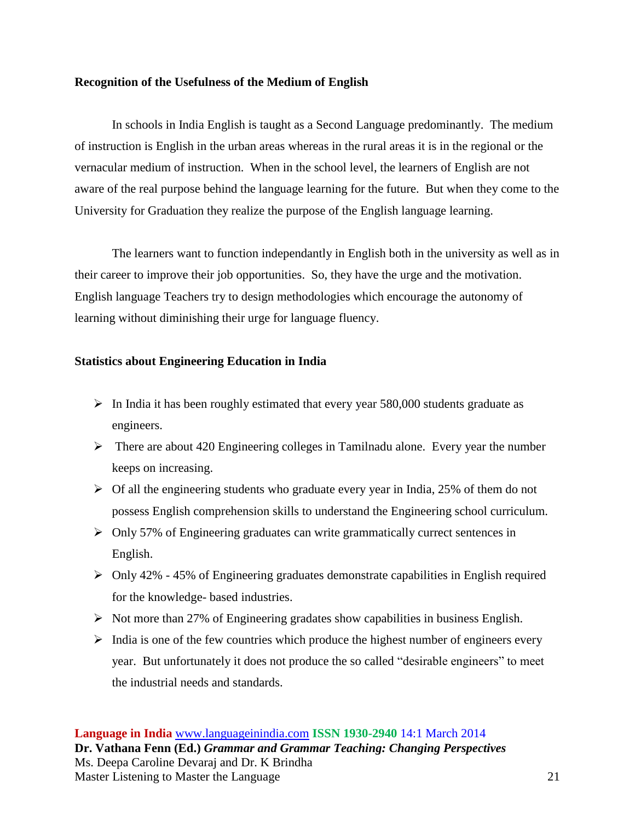## **Recognition of the Usefulness of the Medium of English**

In schools in India English is taught as a Second Language predominantly. The medium of instruction is English in the urban areas whereas in the rural areas it is in the regional or the vernacular medium of instruction. When in the school level, the learners of English are not aware of the real purpose behind the language learning for the future. But when they come to the University for Graduation they realize the purpose of the English language learning.

The learners want to function independantly in English both in the university as well as in their career to improve their job opportunities. So, they have the urge and the motivation. English language Teachers try to design methodologies which encourage the autonomy of learning without diminishing their urge for language fluency.

## **Statistics about Engineering Education in India**

- $\triangleright$  In India it has been roughly estimated that every year 580,000 students graduate as engineers.
- $\triangleright$  There are about 420 Engineering colleges in Tamilnadu alone. Every year the number keeps on increasing.
- $\triangleright$  Of all the engineering students who graduate every year in India, 25% of them do not possess English comprehension skills to understand the Engineering school curriculum.
- Only 57% of Engineering graduates can write grammatically currect sentences in English.
- $\triangleright$  Only 42% 45% of Engineering graduates demonstrate capabilities in English required for the knowledge- based industries.
- $\triangleright$  Not more than 27% of Engineering gradates show capabilities in business English.
- $\triangleright$  India is one of the few countries which produce the highest number of engineers every year. But unfortunately it does not produce the so called "desirable engineers" to meet the industrial needs and standards.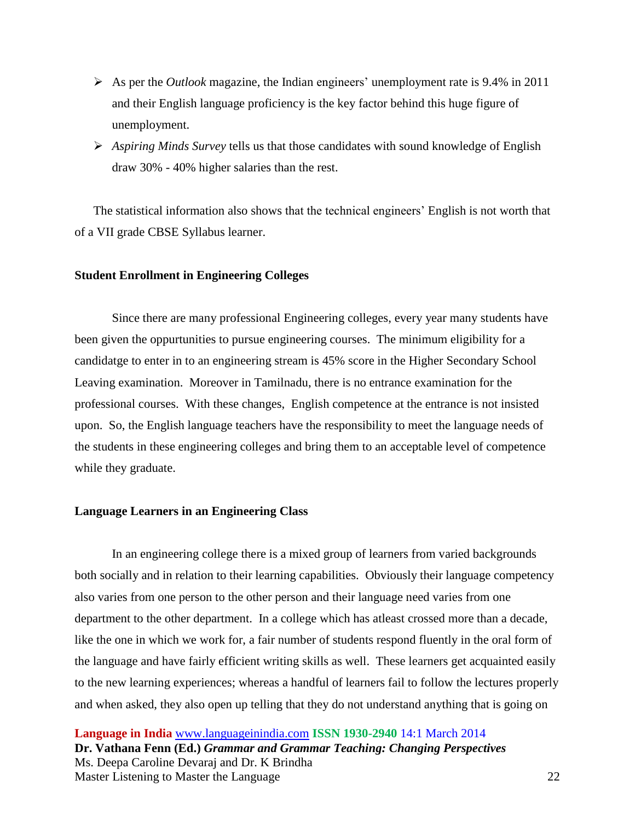- As per the *Outlook* magazine, the Indian engineers' unemployment rate is  $9.4\%$  in 2011 and their English language proficiency is the key factor behind this huge figure of unemployment.
- *Aspiring Minds Survey* tells us that those candidates with sound knowledge of English draw 30% - 40% higher salaries than the rest.

The statistical information also shows that the technical engineers' English is not worth that of a VII grade CBSE Syllabus learner.

#### **Student Enrollment in Engineering Colleges**

Since there are many professional Engineering colleges, every year many students have been given the oppurtunities to pursue engineering courses. The minimum eligibility for a candidatge to enter in to an engineering stream is 45% score in the Higher Secondary School Leaving examination. Moreover in Tamilnadu, there is no entrance examination for the professional courses. With these changes, English competence at the entrance is not insisted upon. So, the English language teachers have the responsibility to meet the language needs of the students in these engineering colleges and bring them to an acceptable level of competence while they graduate.

#### **Language Learners in an Engineering Class**

In an engineering college there is a mixed group of learners from varied backgrounds both socially and in relation to their learning capabilities. Obviously their language competency also varies from one person to the other person and their language need varies from one department to the other department. In a college which has atleast crossed more than a decade, like the one in which we work for, a fair number of students respond fluently in the oral form of the language and have fairly efficient writing skills as well. These learners get acquainted easily to the new learning experiences; whereas a handful of learners fail to follow the lectures properly and when asked, they also open up telling that they do not understand anything that is going on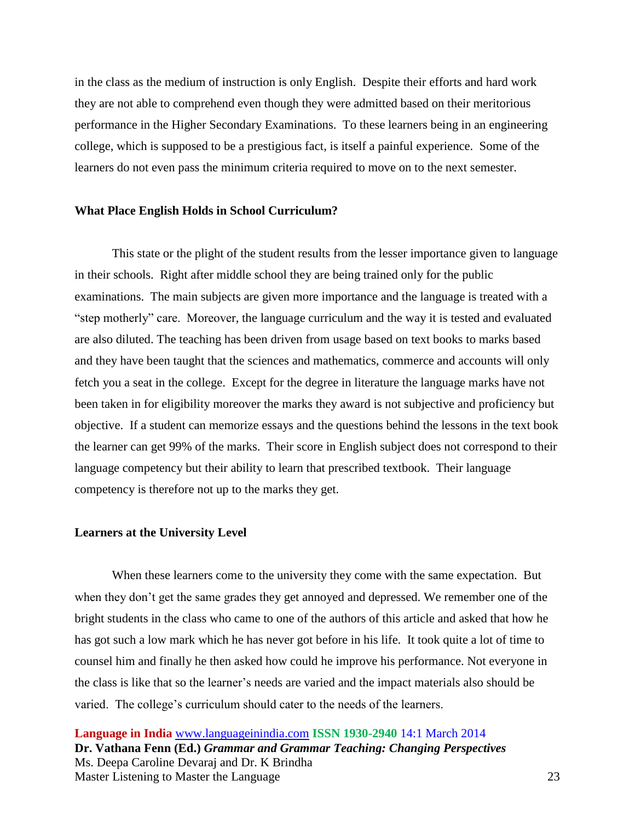in the class as the medium of instruction is only English. Despite their efforts and hard work they are not able to comprehend even though they were admitted based on their meritorious performance in the Higher Secondary Examinations. To these learners being in an engineering college, which is supposed to be a prestigious fact, is itself a painful experience. Some of the learners do not even pass the minimum criteria required to move on to the next semester.

#### **What Place English Holds in School Curriculum?**

This state or the plight of the student results from the lesser importance given to language in their schools. Right after middle school they are being trained only for the public examinations. The main subjects are given more importance and the language is treated with a "step motherly" care. Moreover, the language curriculum and the way it is tested and evaluated are also diluted. The teaching has been driven from usage based on text books to marks based and they have been taught that the sciences and mathematics, commerce and accounts will only fetch you a seat in the college. Except for the degree in literature the language marks have not been taken in for eligibility moreover the marks they award is not subjective and proficiency but objective. If a student can memorize essays and the questions behind the lessons in the text book the learner can get 99% of the marks. Their score in English subject does not correspond to their language competency but their ability to learn that prescribed textbook. Their language competency is therefore not up to the marks they get.

### **Learners at the University Level**

When these learners come to the university they come with the same expectation. But when they don't get the same grades they get annoyed and depressed. We remember one of the bright students in the class who came to one of the authors of this article and asked that how he has got such a low mark which he has never got before in his life. It took quite a lot of time to counsel him and finally he then asked how could he improve his performance. Not everyone in the class is like that so the learner's needs are varied and the impact materials also should be varied. The college's curriculum should cater to the needs of the learners.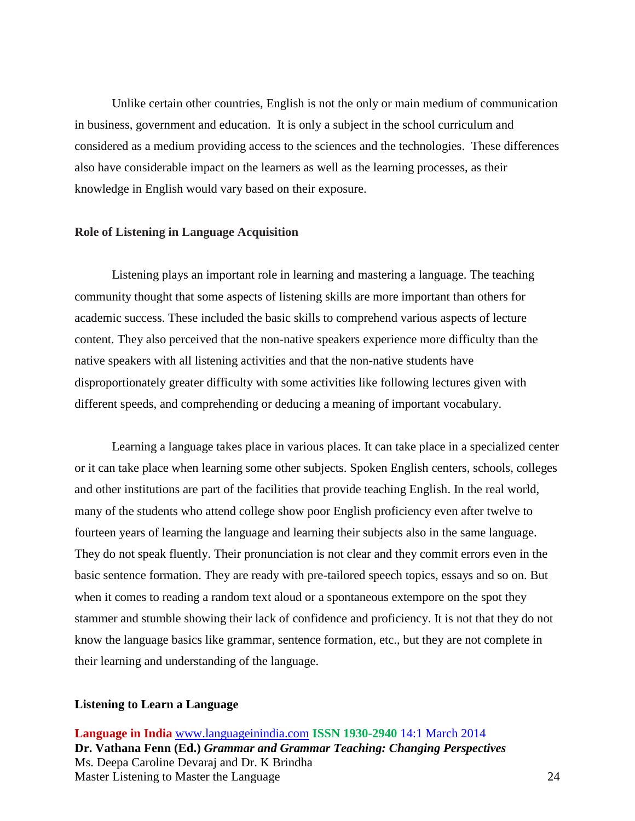Unlike certain other countries, English is not the only or main medium of communication in business, government and education. It is only a subject in the school curriculum and considered as a medium providing access to the sciences and the technologies. These differences also have considerable impact on the learners as well as the learning processes, as their knowledge in English would vary based on their exposure.

#### **Role of Listening in Language Acquisition**

Listening plays an important role in learning and mastering a language. The teaching community thought that some aspects of listening skills are more important than others for academic success. These included the basic skills to comprehend various aspects of lecture content. They also perceived that the non-native speakers experience more difficulty than the native speakers with all listening activities and that the non-native students have disproportionately greater difficulty with some activities like following lectures given with different speeds, and comprehending or deducing a meaning of important vocabulary.

Learning a language takes place in various places. It can take place in a specialized center or it can take place when learning some other subjects. Spoken English centers, schools, colleges and other institutions are part of the facilities that provide teaching English. In the real world, many of the students who attend college show poor English proficiency even after twelve to fourteen years of learning the language and learning their subjects also in the same language. They do not speak fluently. Their pronunciation is not clear and they commit errors even in the basic sentence formation. They are ready with pre-tailored speech topics, essays and so on. But when it comes to reading a random text aloud or a spontaneous extempore on the spot they stammer and stumble showing their lack of confidence and proficiency. It is not that they do not know the language basics like grammar, sentence formation, etc., but they are not complete in their learning and understanding of the language.

#### **Listening to Learn a Language**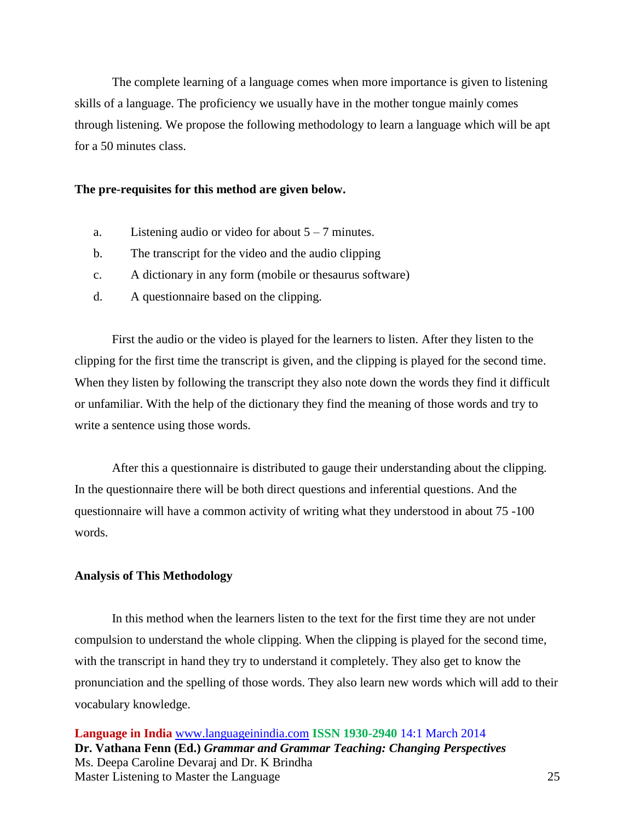The complete learning of a language comes when more importance is given to listening skills of a language. The proficiency we usually have in the mother tongue mainly comes through listening. We propose the following methodology to learn a language which will be apt for a 50 minutes class.

#### **The pre-requisites for this method are given below.**

- a. Listening audio or video for about  $5 7$  minutes.
- b. The transcript for the video and the audio clipping
- c. A dictionary in any form (mobile or thesaurus software)
- d. A questionnaire based on the clipping.

First the audio or the video is played for the learners to listen. After they listen to the clipping for the first time the transcript is given, and the clipping is played for the second time. When they listen by following the transcript they also note down the words they find it difficult or unfamiliar. With the help of the dictionary they find the meaning of those words and try to write a sentence using those words.

After this a questionnaire is distributed to gauge their understanding about the clipping. In the questionnaire there will be both direct questions and inferential questions. And the questionnaire will have a common activity of writing what they understood in about 75 -100 words.

## **Analysis of This Methodology**

In this method when the learners listen to the text for the first time they are not under compulsion to understand the whole clipping. When the clipping is played for the second time, with the transcript in hand they try to understand it completely. They also get to know the pronunciation and the spelling of those words. They also learn new words which will add to their vocabulary knowledge.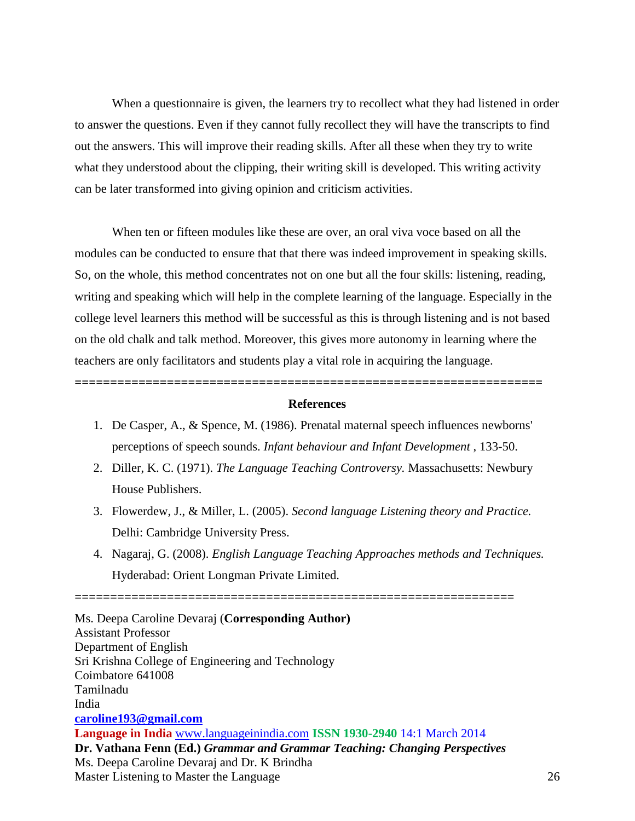When a questionnaire is given, the learners try to recollect what they had listened in order to answer the questions. Even if they cannot fully recollect they will have the transcripts to find out the answers. This will improve their reading skills. After all these when they try to write what they understood about the clipping, their writing skill is developed. This writing activity can be later transformed into giving opinion and criticism activities.

When ten or fifteen modules like these are over, an oral viva voce based on all the modules can be conducted to ensure that that there was indeed improvement in speaking skills. So, on the whole, this method concentrates not on one but all the four skills: listening, reading, writing and speaking which will help in the complete learning of the language. Especially in the college level learners this method will be successful as this is through listening and is not based on the old chalk and talk method. Moreover, this gives more autonomy in learning where the teachers are only facilitators and students play a vital role in acquiring the language.

### **References**

**==================================================================**

- 1. De Casper, A., & Spence, M. (1986). Prenatal maternal speech influences newborns' perceptions of speech sounds. *Infant behaviour and Infant Development* , 133-50.
- 2. Diller, K. C. (1971). *The Language Teaching Controversy.* Massachusetts: Newbury House Publishers.
- 3. Flowerdew, J., & Miller, L. (2005). *Second language Listening theory and Practice.* Delhi: Cambridge University Press.
- 4. Nagaraj, G. (2008). *English Language Teaching Approaches methods and Techniques.* Hyderabad: Orient Longman Private Limited.

**Language in India** [www.languageinindia.com](http://www.languageinindia.com/) **ISSN 1930-2940** 14:1 March 2014 **Dr. Vathana Fenn (Ed.)** *Grammar and Grammar Teaching: Changing Perspectives* Ms. Deepa Caroline Devaraj and Dr. K Brindha Master Listening to Master the Language 26 Ms. Deepa Caroline Devaraj (**Corresponding Author)** Assistant Professor Department of English Sri Krishna College of Engineering and Technology Coimbatore 641008 Tamilnadu India **[caroline193@gmail.com](mailto:caroline193@gmail.com)**

**==============================================================**